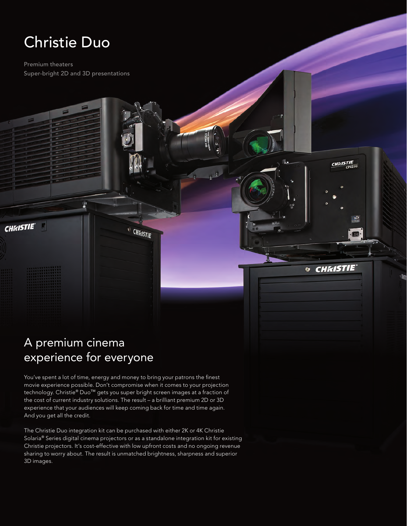# Christie Duo

**CHKISTIE** 

Premium theaters Super-bright 2D and 3D presentations

## A premium cinema experience for everyone

You've spent a lot of time, energy and money to bring your patrons the finest movie experience possible. Don't compromise when it comes to your projection technology. Christie® Duo™ gets you super bright screen images at a fraction of the cost of current industry solutions. The result – a brilliant premium 2D or 3D experience that your audiences will keep coming back for time and time again. And you get all the credit.

**ED CHAISTIE** 

**CHAISTIE** 

® CHKISTIE

 $p_{\rm L}$ 

The Christie Duo integration kit can be purchased with either 2K or 4K Christie Solaria® Series digital cinema projectors or as a standalone integration kit for existing Christie projectors. It's cost-effective with low upfront costs and no ongoing revenue sharing to worry about. The result is unmatched brightness, sharpness and superior 3D images.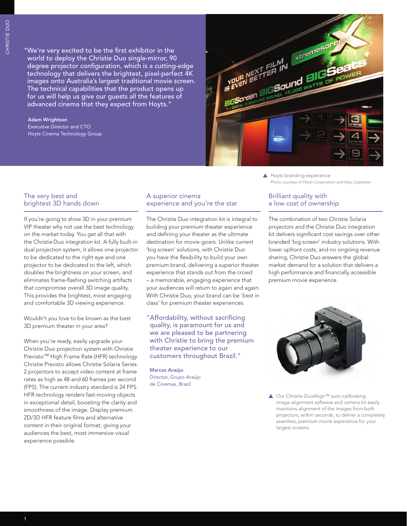"We're very excited to be the first exhibitor in the world to deploy the Christie Duo single-mirror, 90 degree projector configuration, which is a cutting-edge technology that delivers the brightest, pixel-perfect 4K images onto Australia's largest traditional movie screen. The technical capabilities that the product opens up for us will help us give our guests all the features of advanced cinema that they expect from Hoyts."

## Adam Wrightson Executive Director and CTO Hoyts Cinema Technology Group



The very best and brightest 3D hands down

If you're going to show 3D in your premium VIP theater why not use the best technology on the market today. You get all that with the Christie Duo integration kit. A fully built-in dual projection system, it allows one projector to be dedicated to the right eye and one projector to be dedicated to the left, which doubles the brightness on your screen, and eliminates frame-flashing switching artifacts that compromise overall 3D image quality. This provides the brightest, most engaging and comfortable 3D viewing experience.

Wouldn't you love to be known as the best 3D premium theater in your area?

When you're ready, easily upgrade your Christie Duo projection system with Christie Previsto™ High Frame Rate (HFR) technology. Christie Previsto allows Christie Solaria Series 2 projectors to accept video content at frame rates as high as 48 and 60 frames per second (FPS). The current industry standard is 24 FPS. HFR technology renders fast-moving objects in exceptional detail, boosting the clarity and smoothness of the image. Display premium 2D/3D HFR feature films and alternative content in their original format, giving your audiences the best, most immersive visual experience possible.

## A superior cinema experience and you're the star

The Christie Duo integration kit is integral to building your premium theater experience and defining your theater as the ultimate destination for movie-goers. Unlike current 'big screen' solutions, with Christie Duo you have the flexibility to build your own premium brand, delivering a superior theater experience that stands out from the crowd – a memorable, engaging experience that your audiences will return to again and again. With Christie Duo, your brand can be 'best in class' for premium theater experiences.

"Affordability, without sacrificing quality, is paramount for us and we are pleased to be partnering with Christie to bring the premium theater experience to our customers throughout Brazil."

Marcos Araújo Director, Grupo Araújo de Cinemas, Brazil

## Brilliant quality with a low cost of ownership

*Photo courtesy of Hoyts Corporation and Katy Carpenter*

The combination of two Christie Solaria projectors and the Christie Duo integration kit delivers significant cost savings over other branded 'big screen' industry solutions. With lower upfront costs, and no ongoing revenue sharing, Christie Duo answers the global market demand for a solution that delivers a high performance and financially accessible premium movie experience.



▲ Our Christie DuoAlign™ auto-calibrating image alignment software and camera kit easily maintains alignment of the images from both projectors, within seconds, to deliver a completely seamless, premium movie experience for your largest screens.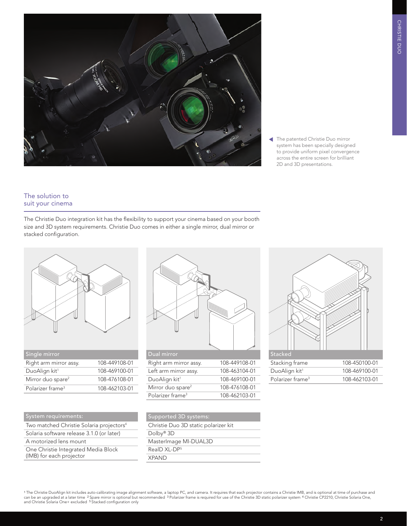

 The patented Christie Duo mirror system has been specially designed to provide uniform pixel convergence across the entire screen for brilliant 2D and 3D presentations.

## The solution to suit your cinema

The Christie Duo integration kit has the flexibility to support your cinema based on your booth size and 3D system requirements. Christie Duo comes in either a single mirror, dual mirror or stacked configuration.



| Single mirror                 |               |
|-------------------------------|---------------|
| Right arm mirror assy.        | 108-449108-01 |
| DuoAlign kit <sup>1</sup>     | 108-469100-01 |
| Mirror duo spare <sup>2</sup> | 108-476108-01 |
| Polarizer frame <sup>3</sup>  | 108-462103-01 |

| System requirements:                                            |
|-----------------------------------------------------------------|
| Two matched Christie Solaria projectors <sup>4</sup>            |
| Solaria software release 3.1.0 (or later)                       |
| A motorized lens mount                                          |
| One Christie Integrated Media Block<br>(IMB) for each projector |



| Dual mirror                   |               |
|-------------------------------|---------------|
| Right arm mirror assy.        | 108-449108-01 |
| Left arm mirror assy.         | 108-463104-01 |
| DuoAlign kit <sup>1</sup>     | 108-469100-01 |
| Mirror duo spare <sup>2</sup> | 108-476108-01 |
| Polarizer frame <sup>3</sup>  | 108-462103-01 |



| <b>Supported 3D systems:</b>         |
|--------------------------------------|
| Christie Duo 3D static polarizer kit |
| Dolby <sup>®</sup> $3D$              |
| Masterlmage MI-DUAL3D                |
| $RealDXI - DP5$                      |
| <b>XPAND</b>                         |

<sup>1</sup>The Christie DuoAlign kit includes auto-calibrating image alignment software, a laptop PC, and camera. It requires that each projector contains a Christie IMB, and is optional at time of purchase and<br>can be an upgraded